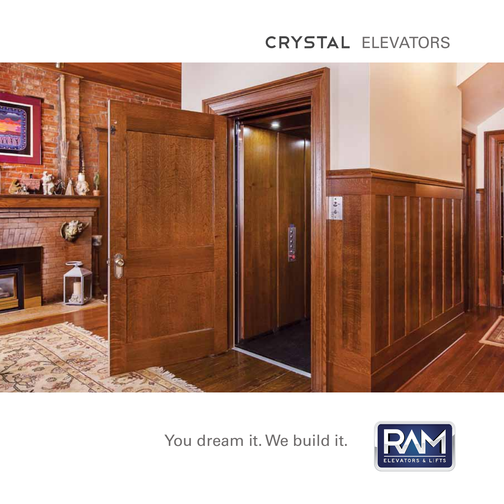# CRYSTAL ELEVATORS



You dream it. We build it.

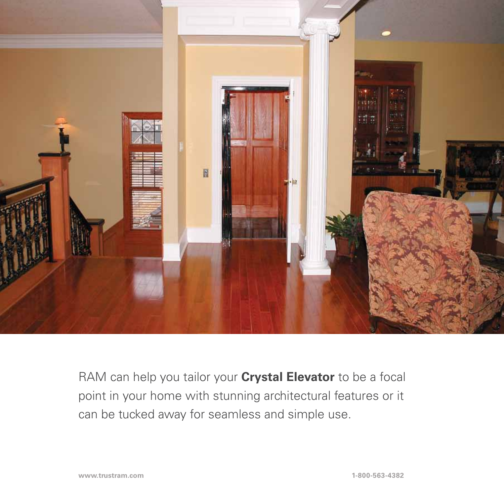

RAM can help you tailor your **Crystal Elevator** to be a focal point in your home with stunning architectural features or it can be tucked away for seamless and simple use.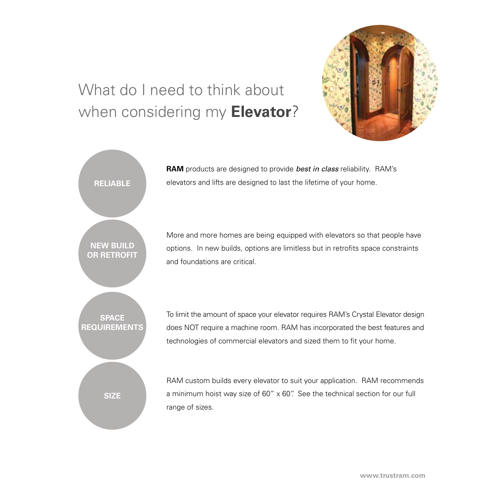# What do I need to think about when considering my **Elevator**?



**RAM** products are designed to provide *best in class* reliability. RAM's elevators and lifts are designed to last the lifetime of your home.

More and more homes are being equipped with elevators so that people have options. In new builds, options are limitless but in retrofits space constraints and foundations are critical.

To limit the amount of space your elevator requires RAM's Crystal Elevator design does NOT require a machine room. RAM has incorporated the best features and technologies of commercial elevators and sized them to fit your home.

RAM custom builds every elevator to suit your application. RAM recommends a minimum hoist way size of 60" x 60". See the technical section for our full range of sizes.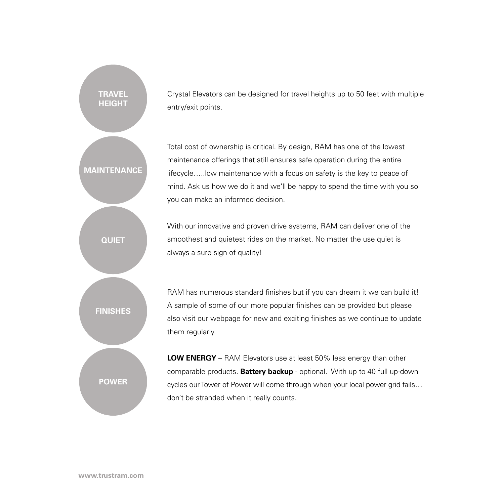Crystal Elevators can be designed for travel heights up to 50 feet with multiple entry/exit points.

Total cost of ownership is critical. By design, RAM has one of the lowest maintenance offerings that still ensures safe operation during the entire lifecycle…..low maintenance with a focus on safety is the key to peace of mind. Ask us how we do it and we'll be happy to spend the time with you so you can make an informed decision.

With our innovative and proven drive systems, RAM can deliver one of the smoothest and quietest rides on the market. No matter the use quiet is always a sure sign of quality!



**Maintenance**

**Quiet**

**Travel Height**

> RAM has numerous standard finishes but if you can dream it we can build it! A sample of some of our more popular finishes can be provided but please also visit our webpage for new and exciting finishes as we continue to update them regularly.

> **LOW ENERGY** – RAM Elevators use at least 50% less energy than other comparable products. **Battery backup** - optional. With up to 40 full up-down cycles our Tower of Power will come through when your local power grid fails… don't be stranded when it really counts.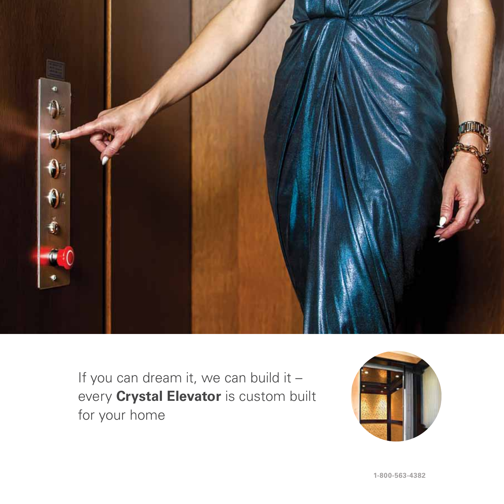

If you can dream it, we can build it – every **Crystal Elevator** is custom built for your home

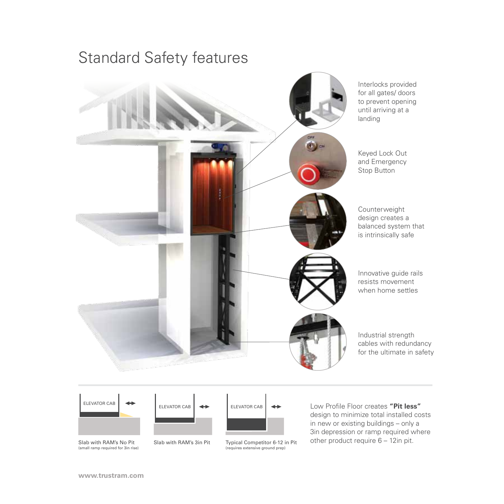





(small ramp required for 3in rise)

Slab with RAM's No Pit Slab with RAM's 3in Pit



Typical Competitor 6-12 in Pit (requires extensive ground prep)

Low Profile Floor creates **"Pit less"** design to minimize total installed costs in new or existing buildings – only a 3in depression or ramp required where other product require 6 – 12in pit.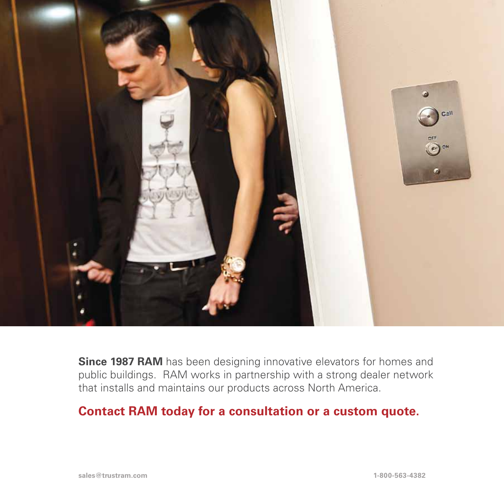

**Since 1987 RAM** has been designing innovative elevators for homes and public buildings. RAM works in partnership with a strong dealer network that installs and maintains our products across North America.

### **Contact RAM today for a consultation or a custom quote.**